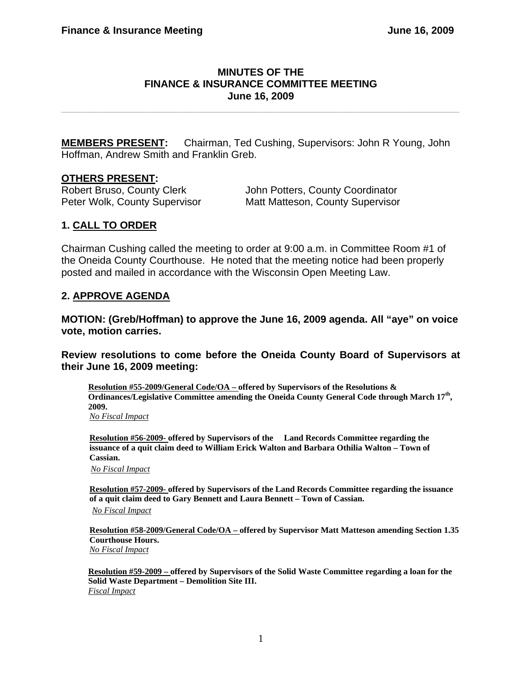## **MINUTES OF THE FINANCE & INSURANCE COMMITTEE MEETING June 16, 2009**

**\_\_\_\_\_\_\_\_\_\_\_\_\_\_\_\_\_\_\_\_\_\_\_\_\_\_\_\_\_\_\_\_\_\_\_\_\_\_\_\_\_\_\_\_\_\_\_\_\_\_\_\_\_\_\_\_\_\_\_\_\_\_\_\_\_\_\_\_\_\_** 

**MEMBERS PRESENT:** Chairman, Ted Cushing, Supervisors: John R Young, John Hoffman, Andrew Smith and Franklin Greb.

### **OTHERS PRESENT:**

Robert Bruso, County Clerk John Potters, County Coordinator Peter Wolk, County Supervisor Matt Matteson, County Supervisor

## **1. CALL TO ORDER**

Chairman Cushing called the meeting to order at 9:00 a.m. in Committee Room #1 of the Oneida County Courthouse. He noted that the meeting notice had been properly posted and mailed in accordance with the Wisconsin Open Meeting Law.

### **2. APPROVE AGENDA**

**MOTION: (Greb/Hoffman) to approve the June 16, 2009 agenda. All "aye" on voice vote, motion carries.** 

**Review resolutions to come before the Oneida County Board of Supervisors at their June 16, 2009 meeting:** 

**Resolution #55-2009/General Code/OA – offered by Supervisors of the Resolutions & Ordinances/Legislative Committee amending the Oneida County General Code through March 17th, 2009.**  *No Fiscal Impact*

**Resolution #56-2009- offered by Supervisors of the Land Records Committee regarding the issuance of a quit claim deed to William Erick Walton and Barbara Othilia Walton – Town of Cassian.** 

*No Fiscal Impact*

**Resolution #57-2009- offered by Supervisors of the Land Records Committee regarding the issuance of a quit claim deed to Gary Bennett and Laura Bennett – Town of Cassian.**  *No Fiscal Impact*

**Resolution #58-2009/General Code/OA – offered by Supervisor Matt Matteson amending Section 1.35 Courthouse Hours.**  *No Fiscal Impact*

**Resolution #59-2009 – offered by Supervisors of the Solid Waste Committee regarding a loan for the Solid Waste Department – Demolition Site III.**  *Fiscal Impact*